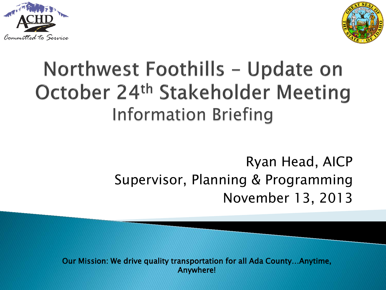



# Northwest Foothills - Update on October 24<sup>th</sup> Stakeholder Meeting Information Briefing

#### Supervisor, Planning & Programming November 13, 2013 Ryan Head, AICP

Our Mission: We drive quality transportation for all Ada County…Anytime, Anywhere!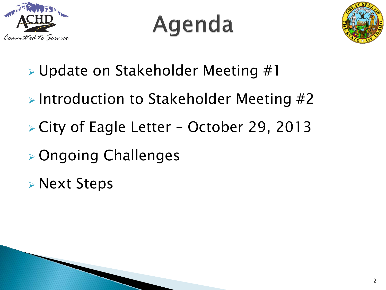

# Agenda



- Update on Stakeholder Meeting #1
- $\triangleright$  Introduction to Stakeholder Meeting #2
- City of Eagle Letter October 29, 2013
- Ongoing Challenges
- Next Steps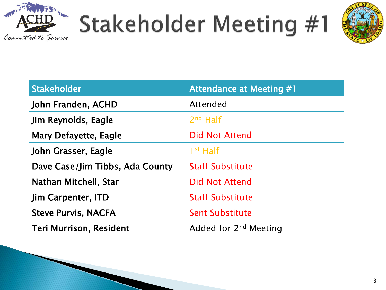



| <b>Stakeholder</b>              | <b>Attendance at Meeting #1</b>   |
|---------------------------------|-----------------------------------|
| John Franden, ACHD              | Attended                          |
| Jim Reynolds, Eagle             | $2nd$ Half                        |
| Mary Defayette, Eagle           | <b>Did Not Attend</b>             |
| John Grasser, Eagle             | $1st$ Half                        |
| Dave Case/Jim Tibbs, Ada County | <b>Staff Substitute</b>           |
| Nathan Mitchell, Star           | <b>Did Not Attend</b>             |
| <b>Jim Carpenter, ITD</b>       | <b>Staff Substitute</b>           |
| <b>Steve Purvis, NACFA</b>      | <b>Sent Substitute</b>            |
| <b>Teri Murrison, Resident</b>  | Added for 2 <sup>nd</sup> Meeting |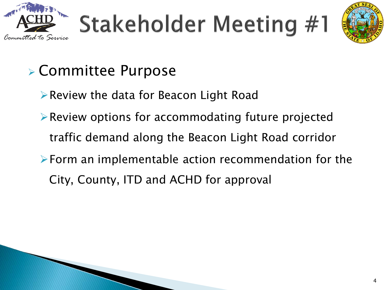



### Committee Purpose

- Review the data for Beacon Light Road
- $\triangleright$  Review options for accommodating future projected traffic demand along the Beacon Light Road corridor
- Form an implementable action recommendation for the City, County, ITD and ACHD for approval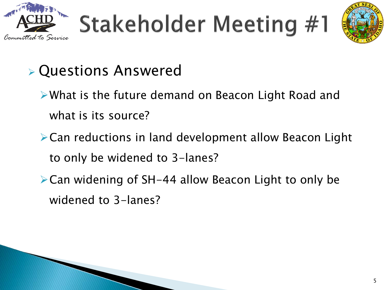



### Questions Answered

- What is the future demand on Beacon Light Road and what is its source?
- Can reductions in land development allow Beacon Light to only be widened to 3-lanes?
- Can widening of SH-44 allow Beacon Light to only be widened to 3-lanes?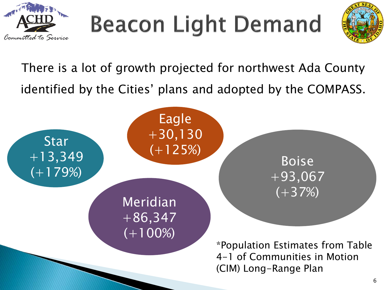

# **Beacon Light Demand**



There is a lot of growth projected for northwest Ada County identified by the Cities' plans and adopted by the COMPASS.

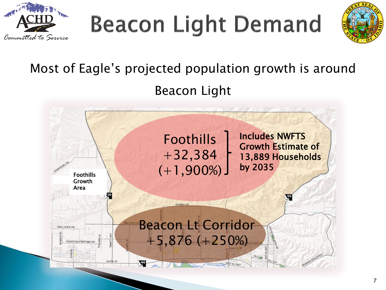

**Beacon Light Demand** 



### Most of Eagle's projected population growth is around Beacon Light

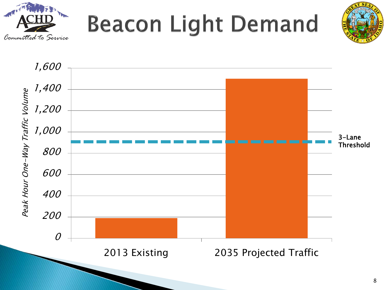



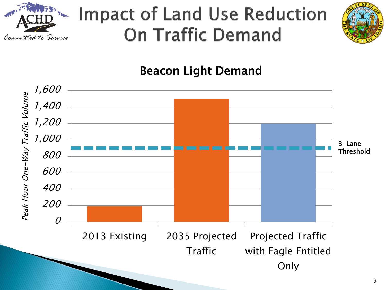

# **Impact of Land Use Reduction On Traffic Demand**



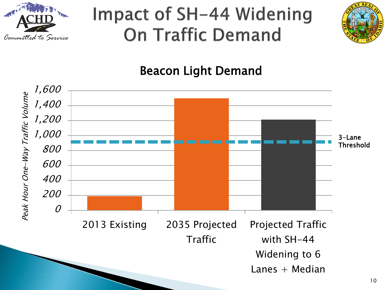

## Impact of SH-44 Widening **On Traffic Demand**



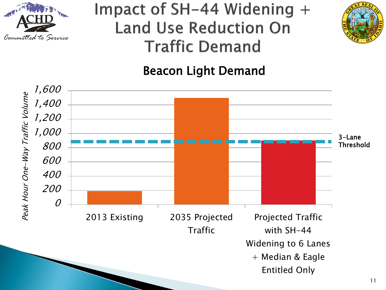

### Impact of SH-44 Widening + **Land Use Reduction On Traffic Demand**



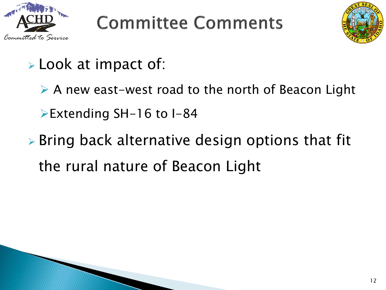

# **Committee Comments**



- $\triangleright$  Look at impact of:
	- ▶ A new east-west road to the north of Beacon Light Extending SH-16 to I-84
- $\triangleright$  Bring back alternative design options that fit the rural nature of Beacon Light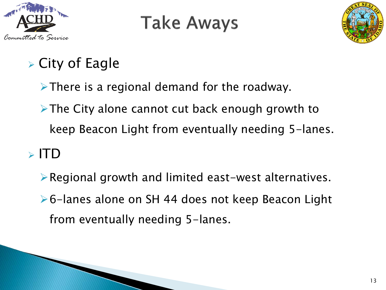

## **Take Aways**



### $\triangleright$  City of Eagle

 $\triangleright$  There is a regional demand for the roadway.

 $\triangleright$  The City alone cannot cut back enough growth to keep Beacon Light from eventually needing 5-lanes.

#### $\triangleright$  ITD

 $\triangleright$  Regional growth and limited east-west alternatives. 6-lanes alone on SH 44 does not keep Beacon Light from eventually needing 5-lanes.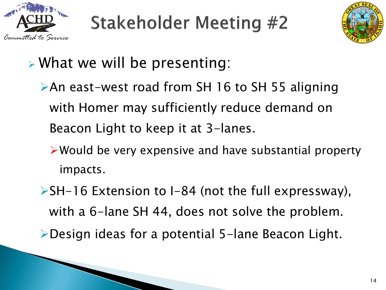



- What we will be presenting:
	- An east-west road from SH 16 to SH 55 aligning with Homer may sufficiently reduce demand on Beacon Light to keep it at 3-lanes.
		- Would be very expensive and have substantial property impacts.
	- $\triangleright$ SH-16 Extension to I-84 (not the full expressway), with a 6-lane SH 44, does not solve the problem. Design ideas for a potential 5-lane Beacon Light.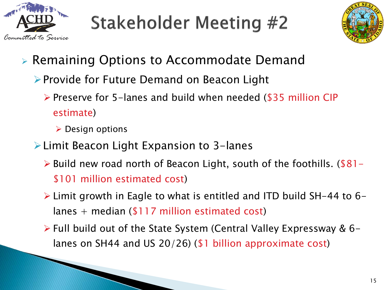



- Remaining Options to Accommodate Demand
	- ▶ Provide for Future Demand on Beacon Light
		- $\triangleright$  Preserve for 5-lanes and build when needed (\$35 million CIP estimate)
			- $\triangleright$  Design options
	- Limit Beacon Light Expansion to 3-lanes
		- $\triangleright$  Build new road north of Beacon Light, south of the foothills. (\$81-\$101 million estimated cost)
		- Limit growth in Eagle to what is entitled and ITD build SH-44 to 6 lanes  $+$  median (\$117 million estimated cost)
		- Full build out of the State System (Central Valley Expressway & 6 lanes on SH44 and US 20/26) (\$1 billion approximate cost)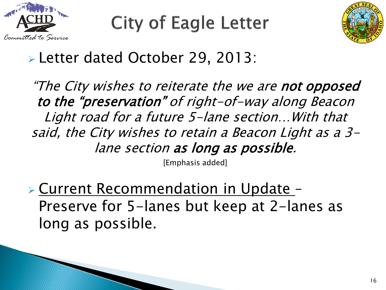

**City of Eagle Letter** 



#### Letter dated October 29, 2013:

"The City wishes to reiterate the we are not opposed to the "preservation" of right-of-way along Beacon Light road for a future 5-lane section…With that said, the City wishes to retain a Beacon Light as a 3 lane section as long as possible.

[Emphasis added]

 Current Recommendation in Update – Preserve for 5-lanes but keep at 2-lanes as long as possible.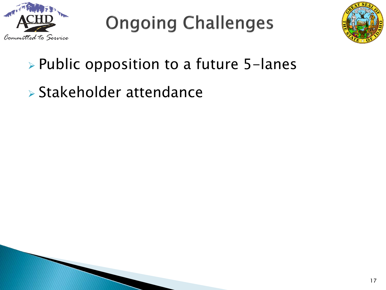

**Ongoing Challenges** 



### $\triangleright$  Public opposition to a future 5-lanes

Stakeholder attendance